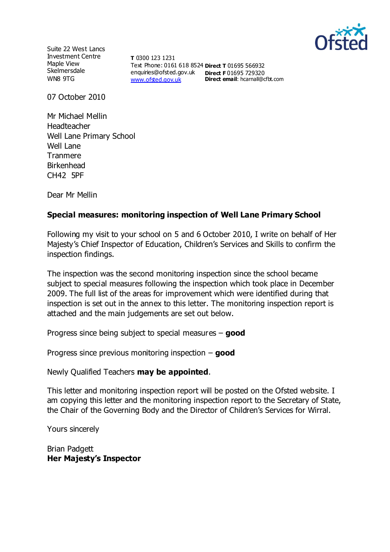

Suite 22 West Lancs Investment Centre Maple View **Skelmersdale** WN8 9TG

**T** 0300 123 1231 Text Phone: 0161 618 8524 **Direct T** 01695 566932 enquiries@ofsted.gov.uk **Direct F** 01695 729320 [www.ofsted.gov.uk](http://www.ofsted.gov.uk/) **Direct email**: hcarnall@cfbt.com

07 October 2010

Mr Michael Mellin Headteacher Well Lane Primary School Well Lane Tranmere Birkenhead CH42 5PF

Dear Mr Mellin

## **Special measures: monitoring inspection of Well Lane Primary School**

Following my visit to your school on 5 and 6 October 2010, I write on behalf of Her Majesty's Chief Inspector of Education, Children's Services and Skills to confirm the inspection findings.

The inspection was the second monitoring inspection since the school became subject to special measures following the inspection which took place in December 2009. The full list of the areas for improvement which were identified during that inspection is set out in the annex to this letter. The monitoring inspection report is attached and the main judgements are set out below.

Progress since being subject to special measures – **good**

Progress since previous monitoring inspection – **good**

Newly Qualified Teachers **may be appointed**.

This letter and monitoring inspection report will be posted on the Ofsted website. I am copying this letter and the monitoring inspection report to the Secretary of State, the Chair of the Governing Body and the Director of Children's Services for Wirral.

Yours sincerely

Brian Padgett **Her Majesty's Inspector**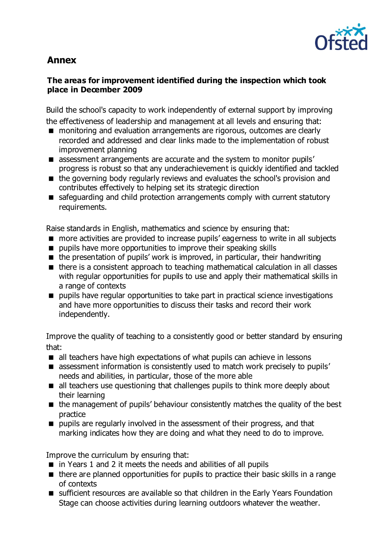# **Annex**



## **The areas for improvement identified during the inspection which took place in December 2009**

Build the school's capacity to work independently of external support by improving the effectiveness of leadership and management at all levels and ensuring that:

- monitoring and evaluation arrangements are rigorous, outcomes are clearly recorded and addressed and clear links made to the implementation of robust improvement planning
- **E** assessment arrangements are accurate and the system to monitor pupils' progress is robust so that any underachievement is quickly identified and tackled
- the governing body regularly reviews and evaluates the school's provision and contributes effectively to helping set its strategic direction
- safeguarding and child protection arrangements comply with current statutory requirements.

Raise standards in English, mathematics and science by ensuring that:

- more activities are provided to increase pupils' eagerness to write in all subjects
- **pupils have more opportunities to improve their speaking skills**
- $\blacksquare$  the presentation of pupils' work is improved, in particular, their handwriting
- there is a consistent approach to teaching mathematical calculation in all classes with regular opportunities for pupils to use and apply their mathematical skills in a range of contexts
- **pupils have regular opportunities to take part in practical science investigations** and have more opportunities to discuss their tasks and record their work independently.

Improve the quality of teaching to a consistently good or better standard by ensuring that:

- all teachers have high expectations of what pupils can achieve in lessons
- **E** assessment information is consistently used to match work precisely to pupils' needs and abilities, in particular, those of the more able
- all teachers use questioning that challenges pupils to think more deeply about their learning
- the management of pupils' behaviour consistently matches the quality of the best practice
- **Permullengilly** pupils are regularly involved in the assessment of their progress, and that marking indicates how they are doing and what they need to do to improve.

Improve the curriculum by ensuring that:

- $\blacksquare$  in Years 1 and 2 it meets the needs and abilities of all pupils
- there are planned opportunities for pupils to practice their basic skills in a range of contexts
- sufficient resources are available so that children in the Early Years Foundation Stage can choose activities during learning outdoors whatever the weather.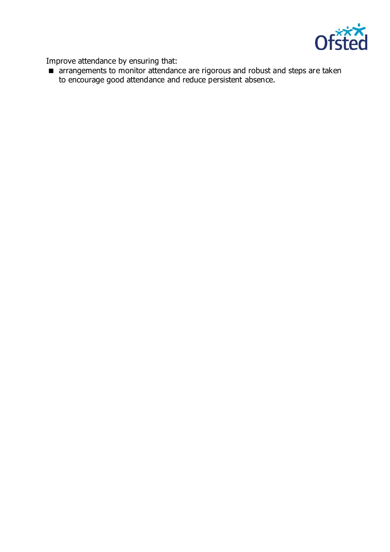

Improve attendance by ensuring that:

**E** arrangements to monitor attendance are rigorous and robust and steps are taken to encourage good attendance and reduce persistent absence.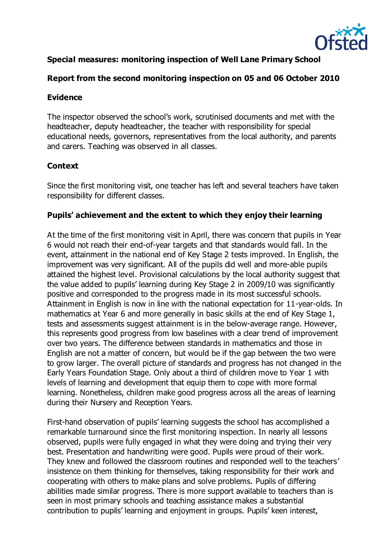

## **Special measures: monitoring inspection of Well Lane Primary School**

## **Report from the second monitoring inspection on 05 and 06 October 2010**

#### **Evidence**

The inspector observed the school's work, scrutinised documents and met with the headteacher, deputy headteacher, the teacher with responsibility for special educational needs, governors, representatives from the local authority, and parents and carers. Teaching was observed in all classes.

## **Context**

Since the first monitoring visit, one teacher has left and several teachers have taken responsibility for different classes.

## **Pupils' achievement and the extent to which they enjoy their learning**

At the time of the first monitoring visit in April, there was concern that pupils in Year 6 would not reach their end-of-year targets and that standards would fall. In the event, attainment in the national end of Key Stage 2 tests improved. In English, the improvement was very significant. All of the pupils did well and more-able pupils attained the highest level. Provisional calculations by the local authority suggest that the value added to pupils' learning during Key Stage 2 in 2009/10 was significantly positive and corresponded to the progress made in its most successful schools. Attainment in English is now in line with the national expectation for 11-year-olds. In mathematics at Year 6 and more generally in basic skills at the end of Key Stage 1, tests and assessments suggest attainment is in the below-average range. However, this represents good progress from low baselines with a clear trend of improvement over two years. The difference between standards in mathematics and those in English are not a matter of concern, but would be if the gap between the two were to grow larger. The overall picture of standards and progress has not changed in the Early Years Foundation Stage. Only about a third of children move to Year 1 with levels of learning and development that equip them to cope with more formal learning. Nonetheless, children make good progress across all the areas of learning during their Nursery and Reception Years.

First-hand observation of pupils' learning suggests the school has accomplished a remarkable turnaround since the first monitoring inspection. In nearly all lessons observed, pupils were fully engaged in what they were doing and trying their very best. Presentation and handwriting were good. Pupils were proud of their work. They knew and followed the classroom routines and responded well to the teachers' insistence on them thinking for themselves, taking responsibility for their work and cooperating with others to make plans and solve problems. Pupils of differing abilities made similar progress. There is more support available to teachers than is seen in most primary schools and teaching assistance makes a substantial contribution to pupils' learning and enjoyment in groups. Pupils' keen interest,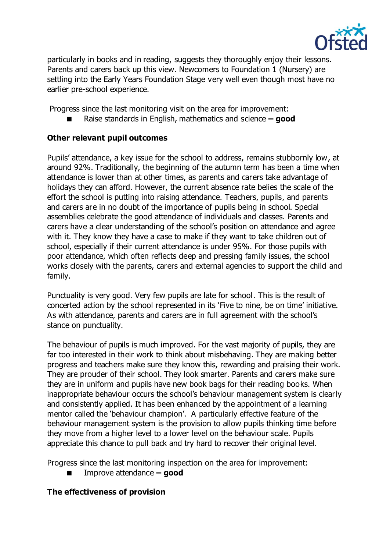

particularly in books and in reading, suggests they thoroughly enjoy their lessons. Parents and carers back up this view. Newcomers to Foundation 1 (Nursery) are settling into the Early Years Foundation Stage very well even though most have no earlier pre-school experience.

Progress since the last monitoring visit on the area for improvement:

■ Raise standards in English, mathematics and science – **good** 

## **Other relevant pupil outcomes**

Pupils' attendance, a key issue for the school to address, remains stubbornly low, at around 92%. Traditionally, the beginning of the autumn term has been a time when attendance is lower than at other times, as parents and carers take advantage of holidays they can afford. However, the current absence rate belies the scale of the effort the school is putting into raising attendance. Teachers, pupils, and parents and carers are in no doubt of the importance of pupils being in school. Special assemblies celebrate the good attendance of individuals and classes. Parents and carers have a clear understanding of the school's position on attendance and agree with it. They know they have a case to make if they want to take children out of school, especially if their current attendance is under 95%. For those pupils with poor attendance, which often reflects deep and pressing family issues, the school works closely with the parents, carers and external agencies to support the child and family.

Punctuality is very good. Very few pupils are late for school. This is the result of concerted action by the school represented in its 'Five to nine, be on time' initiative. As with attendance, parents and carers are in full agreement with the school's stance on punctuality.

The behaviour of pupils is much improved. For the vast majority of pupils, they are far too interested in their work to think about misbehaving. They are making better progress and teachers make sure they know this, rewarding and praising their work. They are prouder of their school. They look smarter. Parents and carers make sure they are in uniform and pupils have new book bags for their reading books. When inappropriate behaviour occurs the school's behaviour management system is clearly and consistently applied. It has been enhanced by the appointment of a learning mentor called the 'behaviour champion'. A particularly effective feature of the behaviour management system is the provision to allow pupils thinking time before they move from a higher level to a lower level on the behaviour scale. Pupils appreciate this chance to pull back and try hard to recover their original level.

Progress since the last monitoring inspection on the area for improvement:

Improve attendance **– good**

## **The effectiveness of provision**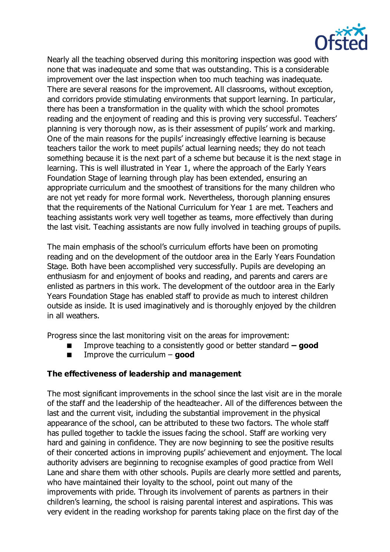

Nearly all the teaching observed during this monitoring inspection was good with none that was inadequate and some that was outstanding. This is a considerable improvement over the last inspection when too much teaching was inadequate. There are several reasons for the improvement. All classrooms, without exception, and corridors provide stimulating environments that support learning. In particular, there has been a transformation in the quality with which the school promotes reading and the enjoyment of reading and this is proving very successful. Teachers' planning is very thorough now, as is their assessment of pupils' work and marking. One of the main reasons for the pupils' increasingly effective learning is because teachers tailor the work to meet pupils' actual learning needs; they do not teach something because it is the next part of a scheme but because it is the next stage in learning. This is well illustrated in Year 1, where the approach of the Early Years Foundation Stage of learning through play has been extended, ensuring an appropriate curriculum and the smoothest of transitions for the many children who are not yet ready for more formal work. Nevertheless, thorough planning ensures that the requirements of the National Curriculum for Year 1 are met. Teachers and teaching assistants work very well together as teams, more effectively than during the last visit. Teaching assistants are now fully involved in teaching groups of pupils.

The main emphasis of the school's curriculum efforts have been on promoting reading and on the development of the outdoor area in the Early Years Foundation Stage. Both have been accomplished very successfully. Pupils are developing an enthusiasm for and enjoyment of books and reading, and parents and carers are enlisted as partners in this work. The development of the outdoor area in the Early Years Foundation Stage has enabled staff to provide as much to interest children outside as inside. It is used imaginatively and is thoroughly enjoyed by the children in all weathers.

Progress since the last monitoring visit on the areas for improvement:

- Improve teaching to a consistently good or better standard **– good**
- **IMPROVE the curriculum good**

## **The effectiveness of leadership and management**

The most significant improvements in the school since the last visit are in the morale of the staff and the leadership of the headteacher. All of the differences between the last and the current visit, including the substantial improvement in the physical appearance of the school, can be attributed to these two factors. The whole staff has pulled together to tackle the issues facing the school. Staff are working very hard and gaining in confidence. They are now beginning to see the positive results of their concerted actions in improving pupils' achievement and enjoyment. The local authority advisers are beginning to recognise examples of good practice from Well Lane and share them with other schools. Pupils are clearly more settled and parents, who have maintained their loyalty to the school, point out many of the improvements with pride. Through its involvement of parents as partners in their children's learning, the school is raising parental interest and aspirations. This was very evident in the reading workshop for parents taking place on the first day of the